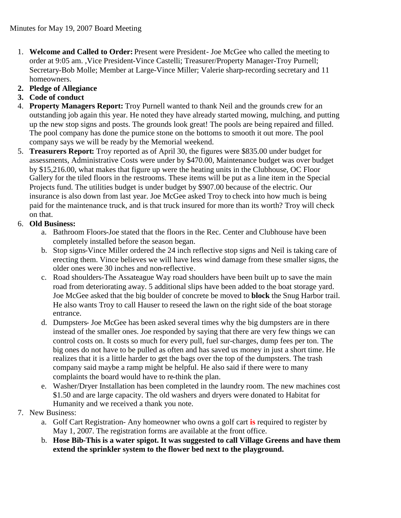- 1. **Welcome and Called to Order:** Present were President- Joe McGee who called the meeting to order at 9:05 am. ,Vice President-Vince Castelli; Treasurer/Property Manager-Troy Purnell; Secretary-Bob Molle; Member at Large-Vince Miller; Valerie sharp-recording secretary and 11 homeowners.
- **2. Pledge of Allegiance**
- **3. Code of conduct**
- 4. **Property Managers Report:** Troy Purnell wanted to thank Neil and the grounds crew for an outstanding job again this year. He noted they have already started mowing, mulching, and putting up the new stop signs and posts. The grounds look great! The pools are being repaired and filled. The pool company has done the pumice stone on the bottoms to smooth it out more. The pool company says we will be ready by the Memorial weekend.
- 5. **Treasurers Report:** Troy reported as of April 30, the figures were \$835.00 under budget for assessments, Administrative Costs were under by \$470.00, Maintenance budget was over budget by \$15,216.00, what makes that figure up were the heating units in the Clubhouse, OC Floor Gallery for the tiled floors in the restrooms. These items will be put as a line item in the Special Projects fund. The utilities budget is under budget by \$907.00 because of the electric. Our insurance is also down from last year. Joe McGee asked Troy to check into how much is being paid for the maintenance truck, and is that truck insured for more than its worth? Troy will check on that.

## 6. **Old Business:**

- a. Bathroom Floors-Joe stated that the floors in the Rec. Center and Clubhouse have been completely installed before the season began.
- b. Stop signs-Vince Miller ordered the 24 inch reflective stop signs and Neil is taking care of erecting them. Vince believes we will have less wind damage from these smaller signs, the older ones were 30 inches and non-reflective.
- c. Road shoulders-The Assateague Way road shoulders have been built up to save the main road from deteriorating away. 5 additional slips have been added to the boat storage yard. Joe McGee asked that the big boulder of concrete be moved to **block** the Snug Harbor trail. He also wants Troy to call Hauser to reseed the lawn on the right side of the boat storage entrance.
- d. Dumpsters- Joe McGee has been asked several times why the big dumpsters are in there instead of the smaller ones. Joe responded by saying that there are very few things we can control costs on. It costs so much for every pull, fuel sur-charges, dump fees per ton. The big ones do not have to be pulled as often and has saved us money in just a short time. He realizes that it is a little harder to get the bags over the top of the dumpsters. The trash company said maybe a ramp might be helpful. He also said if there were to many complaints the board would have to re-think the plan.
- e. Washer/Dryer Installation has been completed in the laundry room. The new machines cost \$1.50 and are large capacity. The old washers and dryers were donated to Habitat for Humanity and we received a thank you note.
- 7. New Business:
	- a. Golf Cart Registration- Any homeowner who owns a golf cart **is** required to register by May 1, 2007. The registration forms are available at the front office.
	- b. **Hose Bib-This is a water spigot. It was suggested to call Village Greens and have them extend the sprinkler system to the flower bed next to the playground.**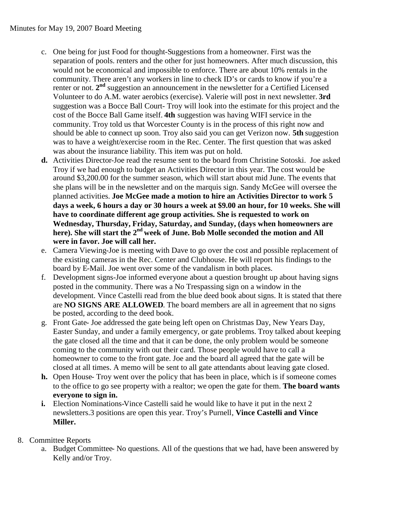- c. One being for just Food for thought-Suggestions from a homeowner. First was the separation of pools. renters and the other for just homeowners. After much discussion, this would not be economical and impossible to enforce. There are about 10% rentals in the community. There aren't any workers in line to check ID's or cards to know if you're a renter or not. 2<sup>nd</sup> suggestion an announcement in the newsletter for a Certified Licensed Volunteer to do A.M. water aerobics (exercise). Valerie will post in next newsletter. **3rd** suggestion was a Bocce Ball Court- Troy will look into the estimate for this project and the cost of the Bocce Ball Game itself. **4th** suggestion was having WIFI service in the community. Troy told us that Worcester County is in the process of this right now and should be able to connect up soon. Troy also said you can get Verizon now. **5th** suggestion was to have a weight/exercise room in the Rec. Center. The first question that was asked was about the insurance liability. This item was put on hold.
- **d.** Activities Director-Joe read the resume sent to the board from Christine Sotoski. Joe asked Troy if we had enough to budget an Activities Director in this year. The cost would be around \$3,200.00 for the summer season, which will start about mid June. The events that she plans will be in the newsletter and on the marquis sign. Sandy McGee will oversee the planned activities. **Joe McGee made a motion to hire an Activities Director to work 5 days a week, 6 hours a day or 30 hours a week at \$9.00 an hour, for 10 weeks. She will have to coordinate different age group activities. She is requested to work on Wednesday, Thursday, Friday, Saturday, and Sunday, (days when homeowners are here). She will start the 2nd week of June. Bob Molle seconded the motion and All were in favor. Joe will call her.**
- e. Camera Viewing-Joe is meeting with Dave to go over the cost and possible replacement of the existing cameras in the Rec. Center and Clubhouse. He will report his findings to the board by E-Mail. Joe went over some of the vandalism in both places.
- f. Development signs-Joe informed everyone about a question brought up about having signs posted in the community. There was a No Trespassing sign on a window in the development. Vince Castelli read from the blue deed book about signs. It is stated that there are **NO SIGNS ARE ALLOWED**. The board members are all in agreement that no signs be posted, according to the deed book.
- g. Front Gate- Joe addressed the gate being left open on Christmas Day, New Years Day, Easter Sunday, and under a family emergency, or gate problems. Troy talked about keeping the gate closed all the time and that it can be done, the only problem would be someone coming to the community with out their card. Those people would have to call a homeowner to come to the front gate. Joe and the board all agreed that the gate will be closed at all times. A memo will be sent to all gate attendants about leaving gate closed.
- **h.** Open House- Troy went over the policy that has been in place, which is if someone comes to the office to go see property with a realtor; we open the gate for them. **The board wants everyone to sign in.**
- **i.** Election Nominations-Vince Castelli said he would like to have it put in the next 2 newsletters.3 positions are open this year. Troy's Purnell, **Vince Castelli and Vince Miller.**

## 8. Committee Reports

a. Budget Committee- No questions. All of the questions that we had, have been answered by Kelly and/or Troy.